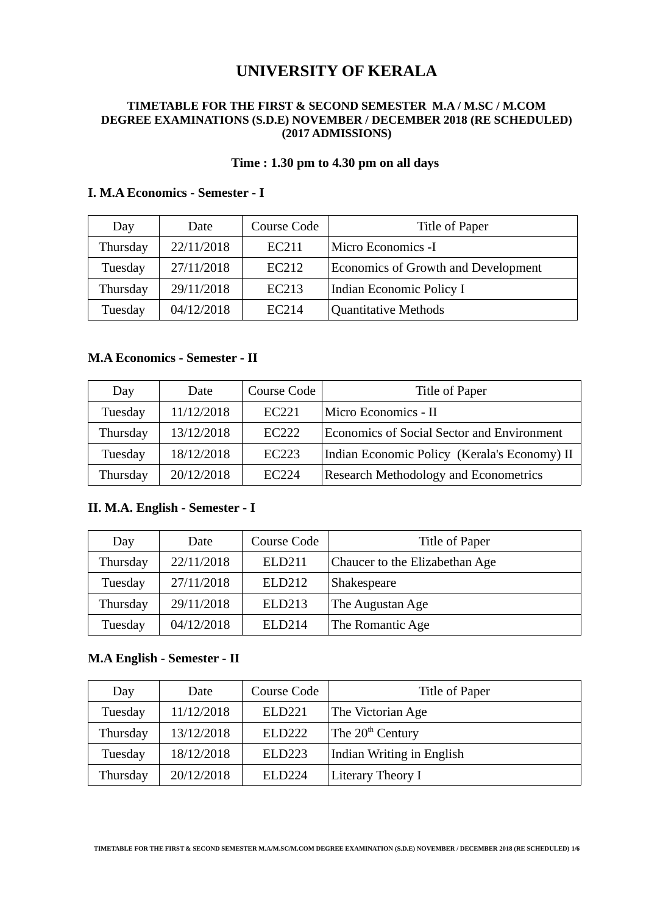# **UNIVERSITY OF KERALA**

#### **TIMETABLE FOR THE FIRST & SECOND SEMESTER M.A / M.SC / M.COM DEGREE EXAMINATIONS (S.D.E) NOVEMBER / DECEMBER 2018 (RE SCHEDULED) (2017 ADMISSIONS)**

### **Time : 1.30 pm to 4.30 pm on all days**

| Day      | Date       | Course Code | Title of Paper                      |
|----------|------------|-------------|-------------------------------------|
| Thursday | 22/11/2018 | EC211       | Micro Economics -I                  |
| Tuesday  | 27/11/2018 | EC212       | Economics of Growth and Development |
| Thursday | 29/11/2018 | EC213       | Indian Economic Policy I            |
| Tuesday  | 04/12/2018 | EC214       | Quantitative Methods                |

### **I. M.A Economics - Semester - I**

#### **M.A Economics - Semester - II**

| Day      | Date       | Course Code       | Title of Paper                                    |
|----------|------------|-------------------|---------------------------------------------------|
| Tuesday  | 11/12/2018 | EC <sub>221</sub> | Micro Economics - II                              |
| Thursday | 13/12/2018 | EC <sub>222</sub> | <b>Economics of Social Sector and Environment</b> |
| Tuesday  | 18/12/2018 | EC223             | Indian Economic Policy (Kerala's Economy) II      |
| Thursday | 20/12/2018 | EC <sub>224</sub> | Research Methodology and Econometrics             |

### **II. M.A. English - Semester - I**

| Day      | Date       | Course Code        | Title of Paper                 |
|----------|------------|--------------------|--------------------------------|
| Thursday | 22/11/2018 | <b>ELD211</b>      | Chaucer to the Elizabethan Age |
| Tuesday  | 27/11/2018 | ELD212             | Shakespeare                    |
| Thursday | 29/11/2018 | <b>ELD213</b>      | The Augustan Age               |
| Tuesday  | 04/12/2018 | ELD <sub>214</sub> | The Romantic Age               |

#### **M.A English - Semester - II**

| Day      | Date       | Course Code        | Title of Paper               |
|----------|------------|--------------------|------------------------------|
| Tuesday  | 11/12/2018 | ELD <sub>221</sub> | The Victorian Age            |
| Thursday | 13/12/2018 | <b>ELD222</b>      | The 20 <sup>th</sup> Century |
| Tuesday  | 18/12/2018 | <b>ELD223</b>      | Indian Writing in English    |
| Thursday | 20/12/2018 | E1.D224            | Literary Theory I            |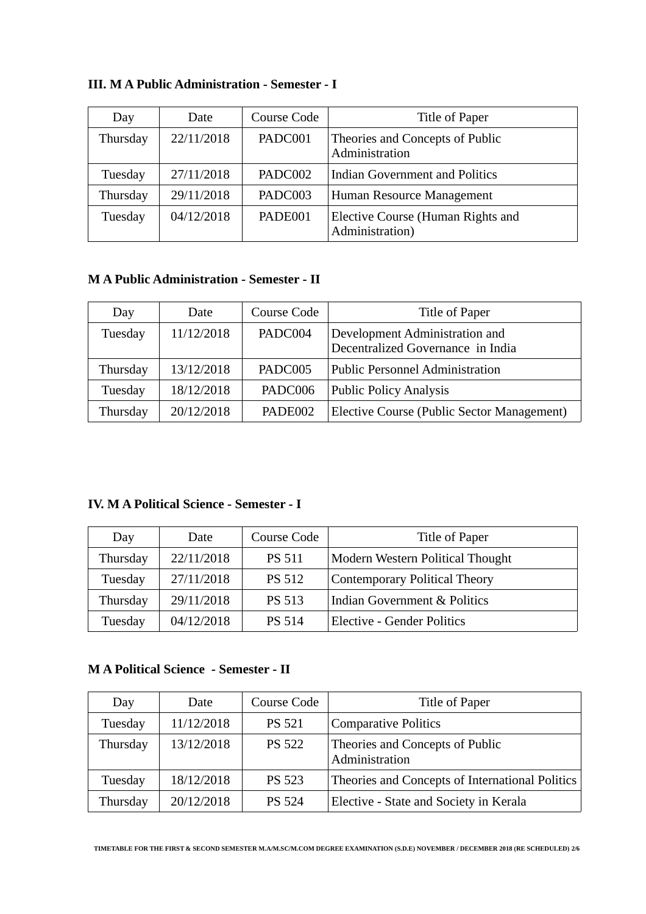| Day      | Date       | Course Code | Title of Paper                                       |
|----------|------------|-------------|------------------------------------------------------|
| Thursday | 22/11/2018 | PADC001     | Theories and Concepts of Public<br>Administration    |
| Tuesday  | 27/11/2018 | PADC002     | Indian Government and Politics                       |
| Thursday | 29/11/2018 | PADC003     | Human Resource Management                            |
| Tuesday  | 04/12/2018 | PADE001     | Elective Course (Human Rights and<br>Administration) |

### **III. M A Public Administration - Semester - I**

### **M A Public Administration - Semester - II**

| Day      | Date       | Course Code | Title of Paper                                                      |
|----------|------------|-------------|---------------------------------------------------------------------|
| Tuesday  | 11/12/2018 | PADC004     | Development Administration and<br>Decentralized Governance in India |
| Thursday | 13/12/2018 | PADC005     | <b>Public Personnel Administration</b>                              |
| Tuesday  | 18/12/2018 | PADC006     | Public Policy Analysis                                              |
| Thursday | 20/12/2018 | PADE002     | Elective Course (Public Sector Management)                          |

### **IV. M A Political Science - Semester - I**

| Day      | Date       | Course Code   | Title of Paper                          |
|----------|------------|---------------|-----------------------------------------|
| Thursday | 22/11/2018 | <b>PS 511</b> | Modern Western Political Thought        |
| Tuesday  | 27/11/2018 | <b>PS 512</b> | Contemporary Political Theory           |
| Thursday | 29/11/2018 | <b>PS 513</b> | <b>Indian Government &amp; Politics</b> |
| Tuesday  | 04/12/2018 | <b>PS 514</b> | <b>Elective - Gender Politics</b>       |

### **M A Political Science - Semester - II**

| Day      | Date       | Course Code   | Title of Paper                                    |
|----------|------------|---------------|---------------------------------------------------|
| Tuesday  | 11/12/2018 | <b>PS 521</b> | <b>Comparative Politics</b>                       |
| Thursday | 13/12/2018 | <b>PS 522</b> | Theories and Concepts of Public<br>Administration |
| Tuesday  | 18/12/2018 | <b>PS 523</b> | Theories and Concepts of International Politics   |
| Thursday | 20/12/2018 | <b>PS 524</b> | Elective - State and Society in Kerala            |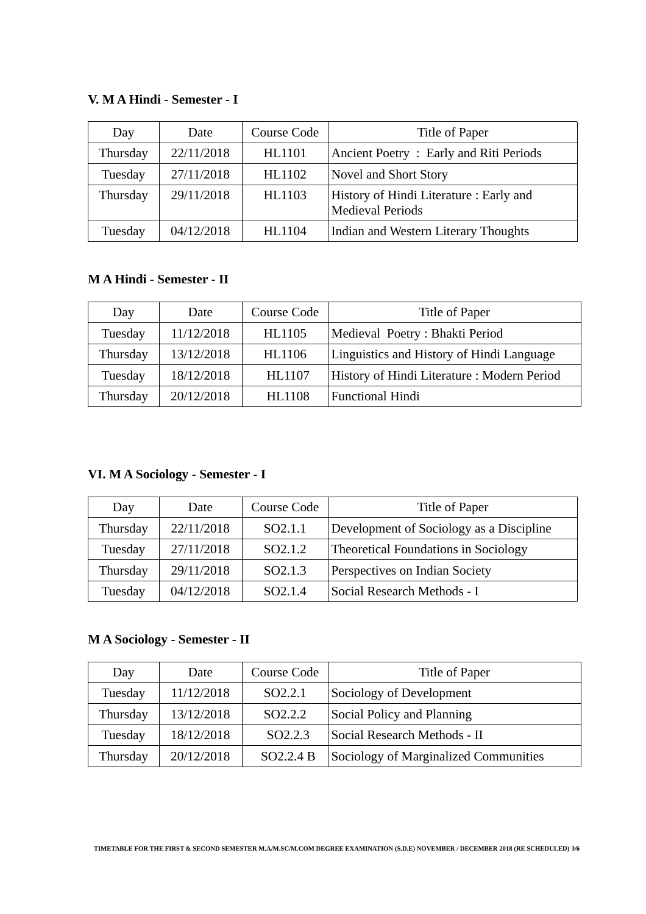#### **V. M A Hindi - Semester - I**

| Day      | Date       | Course Code   | Title of Paper                                                    |
|----------|------------|---------------|-------------------------------------------------------------------|
| Thursday | 22/11/2018 | <b>HL1101</b> | Ancient Poetry: Early and Riti Periods                            |
| Tuesday  | 27/11/2018 | HL1102        | Novel and Short Story                                             |
| Thursday | 29/11/2018 | HL1103        | History of Hindi Literature: Early and<br><b>Medieval Periods</b> |
| Tuesday  | 04/12/2018 | <b>HL1104</b> | Indian and Western Literary Thoughts                              |

### **M A Hindi - Semester - II**

| Day      | Date       | Course Code   | Title of Paper                             |
|----------|------------|---------------|--------------------------------------------|
| Tuesday  | 11/12/2018 | HL1105        | Medieval Poetry: Bhakti Period             |
| Thursday | 13/12/2018 | <b>HL1106</b> | Linguistics and History of Hindi Language  |
| Tuesday  | 18/12/2018 | HL1107        | History of Hindi Literature: Modern Period |
| Thursday | 20/12/2018 | <b>HL1108</b> | <b>Functional Hindi</b>                    |

# **VI. M A Sociology - Semester - I**

| Day      | Date       | Course Code         | Title of Paper                           |
|----------|------------|---------------------|------------------------------------------|
| Thursday | 22/11/2018 | SO <sub>2.1.1</sub> | Development of Sociology as a Discipline |
| Tuesday  | 27/11/2018 | SO <sub>2.1.2</sub> | Theoretical Foundations in Sociology     |
| Thursday | 29/11/2018 | SO <sub>2.1.3</sub> | Perspectives on Indian Society           |
| Tuesday  | 04/12/2018 | SO <sub>2.1.4</sub> | Social Research Methods - I              |

# **M A Sociology - Semester - II**

| Day      | Date       | <b>Course Code</b>    | Title of Paper                        |
|----------|------------|-----------------------|---------------------------------------|
| Tuesday  | 11/12/2018 | SO <sub>2.2.1</sub>   | Sociology of Development              |
| Thursday | 13/12/2018 | SO <sub>2.2.2</sub>   | Social Policy and Planning            |
| Tuesday  | 18/12/2018 | SO <sub>2.2.3</sub>   | Social Research Methods - II          |
| Thursday | 20/12/2018 | SO <sub>2.2.4</sub> B | Sociology of Marginalized Communities |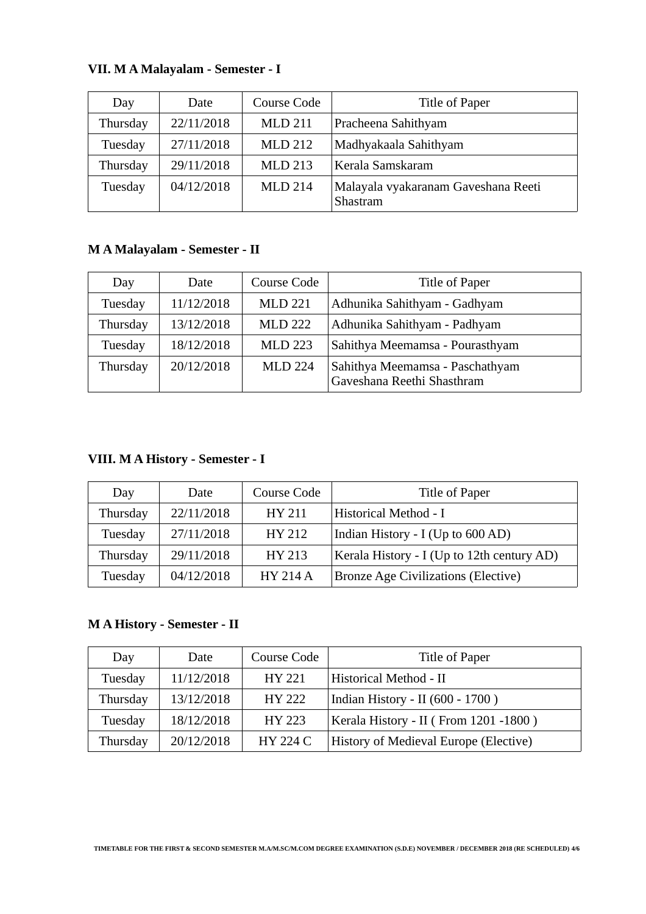| Day      | Date       | Course Code    | Title of Paper                                  |
|----------|------------|----------------|-------------------------------------------------|
| Thursday | 22/11/2018 | <b>MLD 211</b> | Pracheena Sahithyam                             |
| Tuesday  | 27/11/2018 | <b>MLD 212</b> | Madhyakaala Sahithyam                           |
| Thursday | 29/11/2018 | <b>MLD 213</b> | Kerala Samskaram                                |
| Tuesday  | 04/12/2018 | <b>MLD 214</b> | Malayala vyakaranam Gaveshana Reeti<br>Shastram |

# **VII. M A Malayalam - Semester - I**

# **M A Malayalam - Semester - II**

| Day      | Date       | Course Code    | Title of Paper                                                |
|----------|------------|----------------|---------------------------------------------------------------|
| Tuesday  | 11/12/2018 | <b>MLD 221</b> | Adhunika Sahithyam - Gadhyam                                  |
| Thursday | 13/12/2018 | <b>MLD 222</b> | Adhunika Sahithyam - Padhyam                                  |
| Tuesday  | 18/12/2018 | <b>MLD 223</b> | Sahithya Meemamsa - Pourasthyam                               |
| Thursday | 20/12/2018 | <b>MLD 224</b> | Sahithya Meemamsa - Paschathyam<br>Gaveshana Reethi Shasthram |

# **VIII. M A History - Semester - I**

| Day      | Date       | Course Code     | Title of Paper                             |
|----------|------------|-----------------|--------------------------------------------|
| Thursday | 22/11/2018 | HY 211          | Historical Method - I                      |
| Tuesday  | 27/11/2018 | HY 212          | Indian History - I (Up to 600 AD)          |
| Thursday | 29/11/2018 | HY 213          | Kerala History - I (Up to 12th century AD) |
| Tuesday  | 04/12/2018 | <b>HY 214 A</b> | <b>Bronze Age Civilizations (Elective)</b> |

### **M A History - Semester - II**

| Day      | Date       | Course Code     | Title of Paper                        |
|----------|------------|-----------------|---------------------------------------|
| Tuesday  | 11/12/2018 | HY 221          | Historical Method - II                |
| Thursday | 13/12/2018 | HY 222          | Indian History - II (600 - 1700)      |
| Tuesday  | 18/12/2018 | HY 223          | Kerala History - II (From 1201 -1800) |
| Thursday | 20/12/2018 | <b>HY 224 C</b> | History of Medieval Europe (Elective) |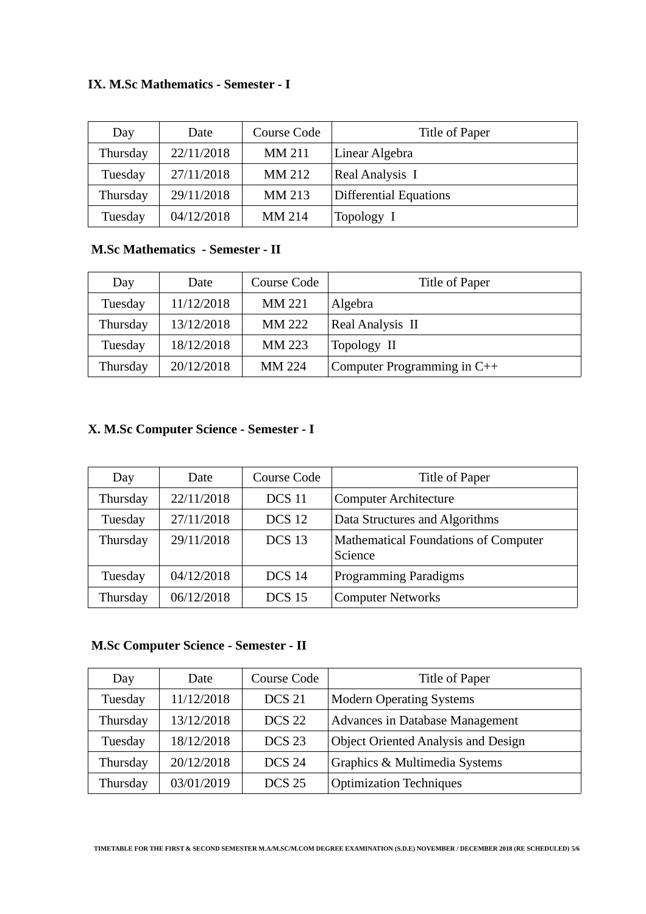### **IX. M.Sc Mathematics - Semester - I**

| Day      | Date       | Course Code   | Title of Paper         |
|----------|------------|---------------|------------------------|
| Thursday | 22/11/2018 | <b>MM 211</b> | Linear Algebra         |
| Tuesday  | 27/11/2018 | MM 212        | <b>Real Analysis I</b> |
| Thursday | 29/11/2018 | MM 213        | Differential Equations |
| Tuesday  | 04/12/2018 | MM 214        | Topology I             |

## **M.Sc Mathematics - Semester - II**

| Day      | Date       | Course Code   | Title of Paper                |
|----------|------------|---------------|-------------------------------|
| Tuesday  | 11/12/2018 | <b>MM 221</b> | Algebra                       |
| Thursday | 13/12/2018 | MM 222        | Real Analysis II              |
| Tuesday  | 18/12/2018 | MM 223        | Topology II                   |
| Thursday | 20/12/2018 | MM 224        | Computer Programming in $C++$ |

# **X. M.Sc Computer Science - Semester - I**

| Day      | Date       | Course Code   | Title of Paper                                         |
|----------|------------|---------------|--------------------------------------------------------|
| Thursday | 22/11/2018 | <b>DCS 11</b> | <b>Computer Architecture</b>                           |
| Tuesday  | 27/11/2018 | <b>DCS 12</b> | Data Structures and Algorithms                         |
| Thursday | 29/11/2018 | <b>DCS 13</b> | <b>Mathematical Foundations of Computer</b><br>Science |
| Tuesday  | 04/12/2018 | <b>DCS 14</b> | <b>Programming Paradigms</b>                           |
| Thursday | 06/12/2018 | <b>DCS 15</b> | <b>Computer Networks</b>                               |

# **M.Sc Computer Science - Semester - II**

| Day      | Date       | <b>Course Code</b> | Title of Paper                             |
|----------|------------|--------------------|--------------------------------------------|
| Tuesday  | 11/12/2018 | <b>DCS 21</b>      | <b>Modern Operating Systems</b>            |
| Thursday | 13/12/2018 | <b>DCS 22</b>      | Advances in Database Management            |
| Tuesday  | 18/12/2018 | DCS <sub>23</sub>  | <b>Object Oriented Analysis and Design</b> |
| Thursday | 20/12/2018 | <b>DCS 24</b>      | Graphics & Multimedia Systems              |
| Thursday | 03/01/2019 | <b>DCS 25</b>      | <b>Optimization Techniques</b>             |